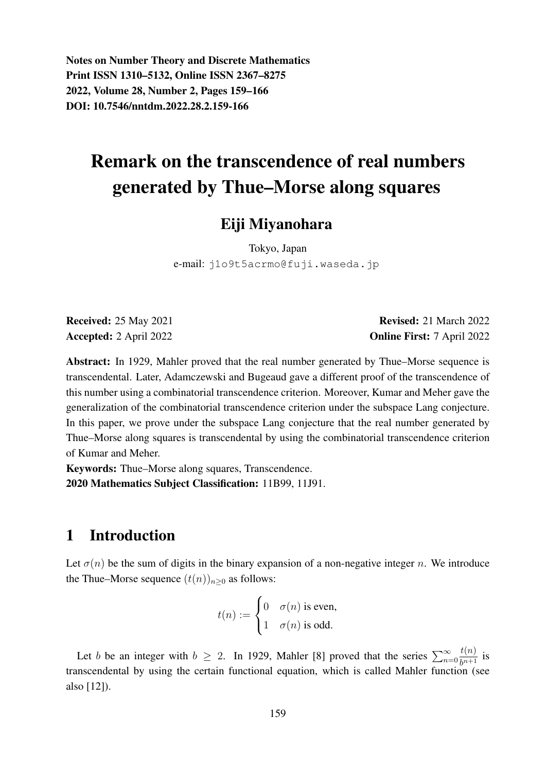Notes on Number Theory and Discrete Mathematics Print ISSN 1310–5132, Online ISSN 2367–8275 2022, Volume 28, Number 2, Pages 159–166 DOI: 10.7546/nntdm.2022.28.2.159-166

# Remark on the transcendence of real numbers generated by Thue–Morse along squares

# Eiji Miyanohara

Tokyo, Japan e-mail: j1o9t5acrmo@fuji.waseda.jp

Received: 25 May 2021 Revised: 21 March 2022 Accepted: 2 April 2022 **Online First:** 7 April 2022

Abstract: In 1929, Mahler proved that the real number generated by Thue–Morse sequence is transcendental. Later, Adamczewski and Bugeaud gave a different proof of the transcendence of this number using a combinatorial transcendence criterion. Moreover, Kumar and Meher gave the generalization of the combinatorial transcendence criterion under the subspace Lang conjecture. In this paper, we prove under the subspace Lang conjecture that the real number generated by Thue–Morse along squares is transcendental by using the combinatorial transcendence criterion of Kumar and Meher.

Keywords: Thue–Morse along squares, Transcendence. 2020 Mathematics Subject Classification: 11B99, 11J91.

# 1 Introduction

Let  $\sigma(n)$  be the sum of digits in the binary expansion of a non-negative integer n. We introduce the Thue–Morse sequence  $(t(n))_{n\geq 0}$  as follows:

$$
t(n) := \begin{cases} 0 & \sigma(n) \text{ is even,} \\ 1 & \sigma(n) \text{ is odd.} \end{cases}
$$

Let b be an integer with  $b \ge 2$ . In 1929, Mahler [8] proved that the series  $\sum_{n=0}^{\infty}$  $t(n)$  $rac{v(t)}{b^{n+1}}$  is transcendental by using the certain functional equation, which is called Mahler function (see also [12]).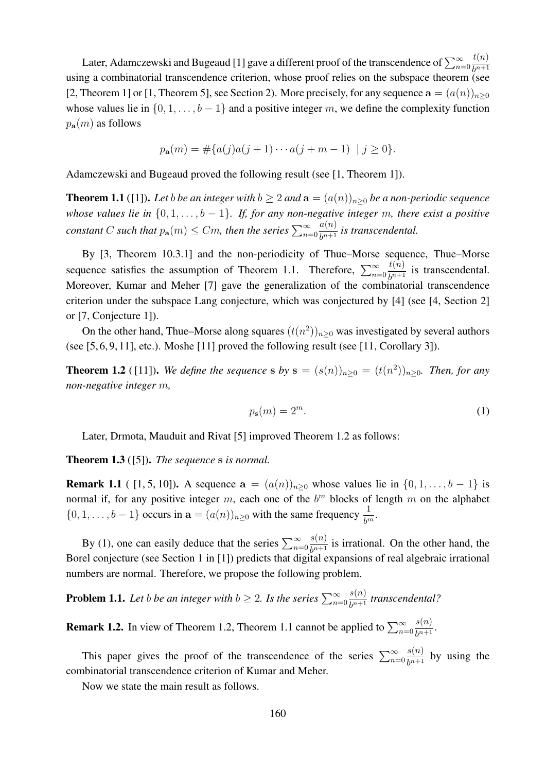Later, Adamczewski and Bugeaud [1] gave a different proof of the transcendence of  $\sum_{n=0}^{\infty}$  $t(n)$  $b^{n+1}$ using a combinatorial transcendence criterion, whose proof relies on the subspace theorem (see [2, Theorem 1] or [1, Theorem 5], see Section 2). More precisely, for any sequence  $\mathbf{a} = (a(n))_{n>0}$ whose values lie in  $\{0, 1, \ldots, b-1\}$  and a positive integer m, we define the complexity function  $p_{\bf a}(m)$  as follows

$$
p_{\mathbf{a}}(m) = \#\{a(j)a(j+1)\cdots a(j+m-1) \mid j \ge 0\}.
$$

Adamczewski and Bugeaud proved the following result (see [1, Theorem 1]).

**Theorem 1.1** ([1]). Let *b be an integer with*  $b \ge 2$  *and*  $a = (a(n))_{n \ge 0}$  *be a non-periodic sequence whose values lie in*  $\{0, 1, \ldots, b-1\}$ *. If, for any non-negative integer m, there exist a positive constant* C *such that*  $p_{a}(m) \leq Cm$ , *then the series*  $\sum_{n=0}^{\infty}$  $a(n)$  $rac{a(n)}{b^{n+1}}$  *is transcendental.* 

By [3, Theorem 10.3.1] and the non-periodicity of Thue–Morse sequence, Thue–Morse sequence satisfies the assumption of Theorem 1.1. Therefore,  $\sum_{n=0}^{\infty}$  $t(n)$  $\frac{b^{(n)}}{b^{n+1}}$  is transcendental. Moreover, Kumar and Meher [7] gave the generalization of the combinatorial transcendence criterion under the subspace Lang conjecture, which was conjectured by [4] (see [4, Section 2] or [7, Conjecture 1]).

On the other hand, Thue–Morse along squares  $(t(n^2))_{n\geq 0}$  was investigated by several authors (see [5, 6, 9, 11], etc.). Moshe [11] proved the following result (see [11, Corollary 3]).

**Theorem 1.2** ([11]). We define the sequence **s** by  $\mathbf{s} = (s(n))_{n\geq 0} = (t(n^2))_{n\geq 0}$ . Then, for any *non-negative integer* m*,*

$$
p_{\mathbf{s}}(m) = 2^m. \tag{1}
$$

Later, Drmota, Mauduit and Rivat [5] improved Theorem 1.2 as follows:

Theorem 1.3 ([5]). *The sequence* s *is normal.*

**Remark 1.1** ( [1, 5, 10]). A sequence  $a = (a(n))_{n\geq 0}$  whose values lie in  $\{0, 1, ..., b-1\}$  is normal if, for any positive integer m, each one of the  $b<sup>m</sup>$  blocks of length m on the alphabet  $\{0, 1, \ldots, b-1\}$  occurs in  $\mathbf{a} = (a(n))_{n \geq 0}$  with the same frequency  $\frac{1}{b^m}$ .

By (1), one can easily deduce that the series  $\sum_{n=0}^{\infty}$  $s(n)$  $\frac{\partial^{(h)}}{\partial^{h+1}}$  is irrational. On the other hand, the Borel conjecture (see Section 1 in [1]) predicts that digital expansions of real algebraic irrational numbers are normal. Therefore, we propose the following problem.

**Problem 1.1.** Let *b be an integer with*  $b \geq 2$ *. Is the series*  $\sum_{n=0}^{\infty}$  $s(n)$  $rac{s(n)}{b^{n+1}}$  *transcendental*?

**Remark 1.2.** In view of Theorem 1.2, Theorem 1.1 cannot be applied to  $\sum_{n=0}^{\infty}$  $s(n)$  $\frac{s(n)}{b^{n+1}}$ 

This paper gives the proof of the transcendence of the series  $\sum_{n=0}^{\infty}$  $s(n)$  $\frac{\partial^{(n)}}{\partial^{n+1}}$  by using the combinatorial transcendence criterion of Kumar and Meher.

Now we state the main result as follows.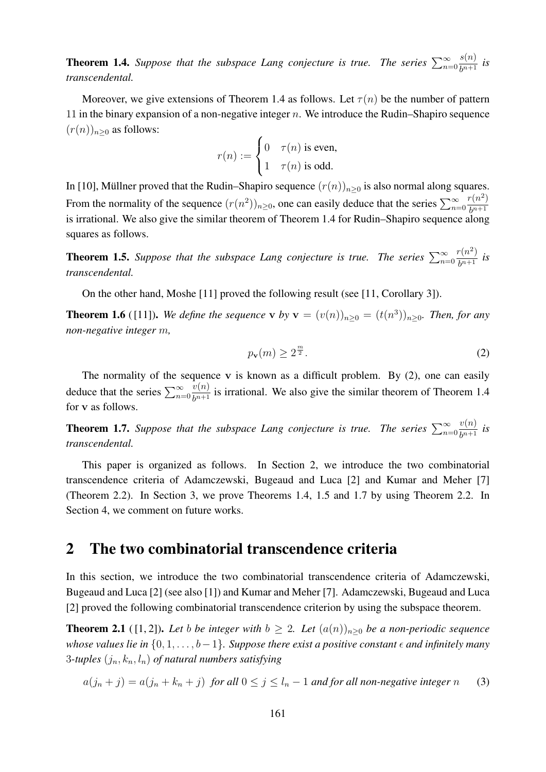**Theorem 1.4.** Suppose that the subspace Lang conjecture is true. The series  $\sum_{n=0}^{\infty}$  $s(n)$  $rac{\delta(h)}{b^{n+1}}$  *is transcendental.*

Moreover, we give extensions of Theorem 1.4 as follows. Let  $\tau(n)$  be the number of pattern 11 in the binary expansion of a non-negative integer  $n$ . We introduce the Rudin–Shapiro sequence  $(r(n))_{n\geq 0}$  as follows:

$$
r(n) := \begin{cases} 0 & \tau(n) \text{ is even,} \\ 1 & \tau(n) \text{ is odd.} \end{cases}
$$

In [10], Müllner proved that the Rudin–Shapiro sequence  $(r(n))_{n>0}$  is also normal along squares. From the normality of the sequence  $(r(n^2))_{n\geq 0}$ , one can easily deduce that the series  $\sum_{n=0}^{\infty}$  $r(n^2)$  $b^{n+1}$ is irrational. We also give the similar theorem of Theorem 1.4 for Rudin–Shapiro sequence along squares as follows.

**Theorem 1.5.** Suppose that the subspace Lang conjecture is true. The series  $\sum_{n=0}^{\infty}$  $r(n^2)$  $\frac{n(n)}{b^{n+1}}$  *is transcendental.*

On the other hand, Moshe [11] proved the following result (see [11, Corollary 3]).

**Theorem 1.6** ([11]). We define the sequence **v** by  $\mathbf{v} = (v(n))_{n \geq 0} = (t(n^3))_{n \geq 0}$ . Then, for any *non-negative integer* m*,*

$$
p_{\mathbf{v}}(m) \ge 2^{\frac{m}{2}}.
$$

The normality of the sequence  $v$  is known as a difficult problem. By  $(2)$ , one can easily deduce that the series  $\sum_{n=0}^{\infty}$  $v(n)$  $\frac{\partial(u)}{\partial p+1}$  is irrational. We also give the similar theorem of Theorem 1.4 for v as follows.

**Theorem 1.7.** Suppose that the subspace Lang conjecture is true. The series  $\sum_{n=0}^{\infty}$  $v(n)$  $rac{v(n)}{b^{n+1}}$  *is transcendental.*

This paper is organized as follows. In Section 2, we introduce the two combinatorial transcendence criteria of Adamczewski, Bugeaud and Luca [2] and Kumar and Meher [7] (Theorem 2.2). In Section 3, we prove Theorems 1.4, 1.5 and 1.7 by using Theorem 2.2. In Section 4, we comment on future works.

### 2 The two combinatorial transcendence criteria

In this section, we introduce the two combinatorial transcendence criteria of Adamczewski, Bugeaud and Luca [2] (see also [1]) and Kumar and Meher [7]. Adamczewski, Bugeaud and Luca [2] proved the following combinatorial transcendence criterion by using the subspace theorem.

**Theorem 2.1** ([1, 2]). Let b be integer with  $b \geq 2$ . Let  $(a(n))_{n>0}$  be a non-periodic sequence *whose values lie in*  $\{0, 1, \ldots, b-1\}$ *. Suppose there exist a positive constant*  $\epsilon$  *and infinitely many* 3-tuples  $(j_n, k_n, l_n)$  of natural numbers satisfying

$$
a(j_n + j) = a(j_n + k_n + j) \text{ for all } 0 \le j \le l_n - 1 \text{ and for all non-negative integer } n \tag{3}
$$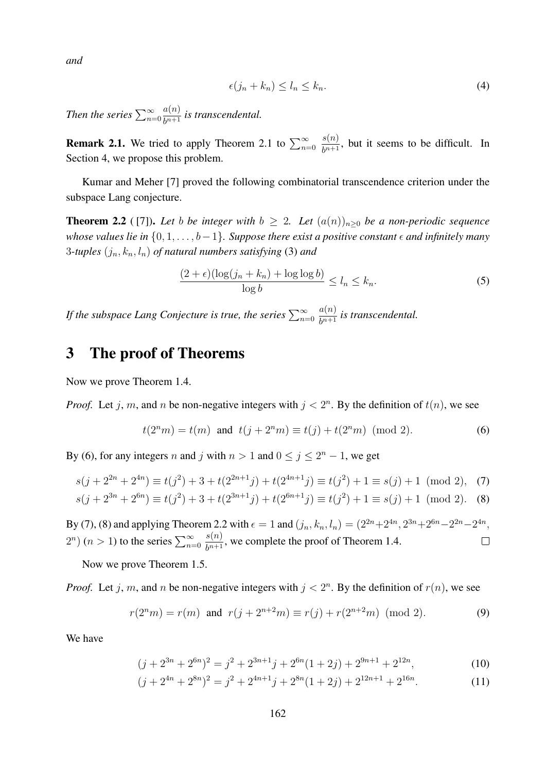*and*

$$
\epsilon(j_n + k_n) \le l_n \le k_n. \tag{4}
$$

*Then the series*  $\sum_{n=0}^{\infty}$  $a(n)$  $rac{a(n)}{b^{n+1}}$  *is transcendental.* 

**Remark 2.1.** We tried to apply Theorem 2.1 to  $\sum_{n=0}^{\infty}$  $s(n)$  $\frac{\partial(u)}{\partial^{n+1}}$ , but it seems to be difficult. In Section 4, we propose this problem.

Kumar and Meher [7] proved the following combinatorial transcendence criterion under the subspace Lang conjecture.

**Theorem 2.2** ([7]). Let *b be integer with*  $b \geq 2$ . Let  $(a(n))_{n>0}$  *be a non-periodic sequence whose values lie in*  $\{0, 1, \ldots, b-1\}$ *. Suppose there exist a positive constant*  $\epsilon$  *and infinitely many* 3-tuples  $(j_n, k_n, l_n)$  of natural numbers satisfying (3) and

$$
\frac{(2+\epsilon)(\log(j_n+k_n)+\log\log b)}{\log b} \le l_n \le k_n.
$$
\n(5)

If the subspace Lang Conjecture is true, the series  $\sum_{n=0}^\infty$  $a(n)$  $rac{a(n)}{b^{n+1}}$  *is transcendental.* 

## 3 The proof of Theorems

Now we prove Theorem 1.4.

*Proof.* Let j, m, and n be non-negative integers with  $j < 2<sup>n</sup>$ . By the definition of  $t(n)$ , we see

$$
t(2nm) = t(m)
$$
 and  $t(j + 2nm) \equiv t(j) + t(2nm)$  (mod 2). (6)

By (6), for any integers n and j with  $n > 1$  and  $0 \le j \le 2<sup>n</sup> - 1$ , we get

$$
s(j + 2^{2n} + 2^{4n}) \equiv t(j^2) + 3 + t(2^{2n+1}j) + t(2^{4n+1}j) \equiv t(j^2) + 1 \equiv s(j) + 1 \pmod{2}, \quad (7)
$$
  

$$
s(j + 2^{3n} + 2^{6n}) \equiv t(j^2) + 3 + t(2^{3n+1}j) + t(2^{6n+1}j) \equiv t(j^2) + 1 \equiv s(j) + 1 \pmod{2}. \quad (8)
$$

By (7), (8) and applying Theorem 2.2 with  $\epsilon = 1$  and  $(j_n, k_n, l_n) = (2^{2n} + 2^{4n}, 2^{3n} + 2^{6n} - 2^{2n} - 2^{4n},$  $s(n)$  $2^{n}$ ) (*n* > 1) to the series  $\sum_{n=0}^{\infty}$  $\Box$  $\frac{s(h)}{b^{n+1}}$ , we complete the proof of Theorem 1.4.

Now we prove Theorem 1.5.

*Proof.* Let j, m, and n be non-negative integers with  $j < 2<sup>n</sup>$ . By the definition of  $r(n)$ , we see

$$
r(2nm) = r(m)
$$
 and  $r(j + 2n+2m) \equiv r(j) + r(2n+2m)$  (mod 2). (9)

We have

$$
(j + 2^{3n} + 2^{6n})^2 = j^2 + 2^{3n+1}j + 2^{6n}(1+2j) + 2^{9n+1} + 2^{12n},
$$
\n(10)

$$
(j + 2^{4n} + 2^{8n})^2 = j^2 + 2^{4n+1}j + 2^{8n}(1+2j) + 2^{12n+1} + 2^{16n}.
$$
 (11)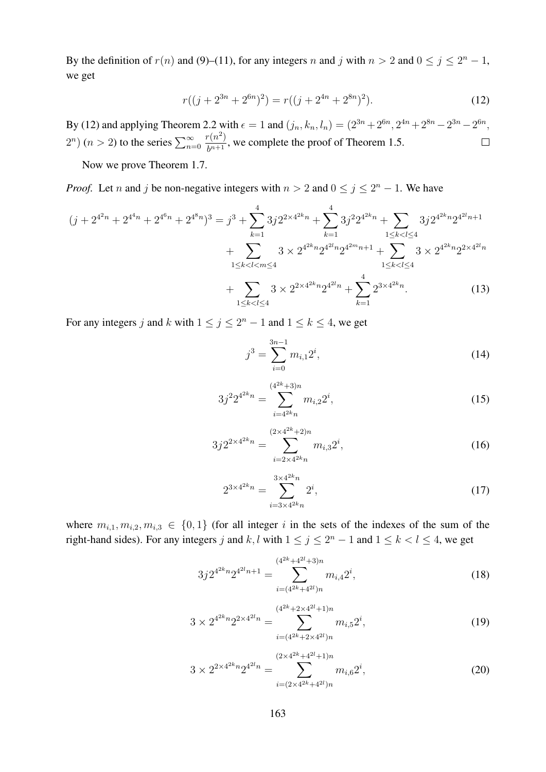By the definition of  $r(n)$  and (9)–(11), for any integers n and j with  $n > 2$  and  $0 \le j \le 2<sup>n</sup> - 1$ , we get

$$
r((j + 2^{3n} + 2^{6n})^2) = r((j + 2^{4n} + 2^{8n})^2).
$$
 (12)

By (12) and applying Theorem 2.2 with  $\epsilon = 1$  and  $(j_n, k_n, l_n) = (2^{3n} + 2^{6n}, 2^{4n} + 2^{8n} - 2^{3n} - 2^{6n},$  $2^{n}$ )  $(n > 2)$  to the series  $\sum_{n=0}^{\infty}$  $r(n^2)$  $\frac{h^{(n)}(n)}{b^{n+1}}$ , we complete the proof of Theorem 1.5.

Now we prove Theorem 1.7.

*Proof.* Let *n* and *j* be non-negative integers with  $n > 2$  and  $0 \le j \le 2^n - 1$ . We have

$$
(j + 2^{4^{2n}} + 2^{4^{4n}} + 2^{4^{6n}} + 2^{4^{8n}})^3 = j^3 + \sum_{k=1}^{4} 3j2^{2 \times 4^{2k}n} + \sum_{k=1}^{4} 3j^2 2^{4^{2k}n} + \sum_{1 \le k < l \le 4} 3j2^{4^{2k}n} 2^{4^{2l}n + 1} + \sum_{1 \le k < l \le 4} 3 \times 2^{4^{2k}n} 2^{4^{2l}n} 2^{4^{2m}n + 1} + \sum_{1 \le k < l \le 4} 3 \times 2^{4^{2k}n} 2^{2 \times 4^{2l}n} + \sum_{1 \le k < l \le 4} 3 \times 2^{2 \times 4^{2k}n} 2^{4^{2l}n} + \sum_{k=1}^{4} 2^{3 \times 4^{2k}n}.
$$
\n
$$
(13)
$$

For any integers j and k with  $1 \le j \le 2^n - 1$  and  $1 \le k \le 4$ , we get

$$
j^3 = \sum_{i=0}^{3n-1} m_{i,1} 2^i,
$$
\n(14)

$$
3j^2 2^{4^{2k}n} = \sum_{i=4^{2k}n}^{(4^{2k}+3)n} m_{i,2} 2^i,
$$
\n(15)

$$
3j2^{2\times 4^{2k}n} = \sum_{i=2\times 4^{2k}n}^{(2\times 4^{2k}+2)n} m_{i,3} 2^i,
$$
\n(16)

$$
2^{3 \times 4^{2k} n} = \sum_{i=3 \times 4^{2k} n}^{3 \times 4^{2k} n} 2^i,
$$
\n(17)

where  $m_{i,1}, m_{i,2}, m_{i,3} \in \{0,1\}$  (for all integer i in the sets of the indexes of the sum of the right-hand sides). For any integers j and k, l with  $1 \le j \le 2^n - 1$  and  $1 \le k < l \le 4$ , we get

$$
3j2^{4^{2k}n}2^{4^{2l}n+1} = \sum_{i=(4^{2k}+4^{2l})n}^{(4^{2k}+4^{2l}+3)n} m_{i,4} 2^{i},
$$
\n(18)

$$
3 \times 2^{4^{2k}n} 2^{2 \times 4^{2l}n} = \sum_{i=(4^{2k}+2 \times 4^{2l})n}^{(4^{2k}+2 \times 4^{2l}+1)n} m_{i,5} 2^{i},
$$
\n(19)

$$
3 \times 2^{2 \times 4^{2k} n} 2^{4^{2l} n} = \sum_{i=(2 \times 4^{2k} + 4^{2l})n}^{(2 \times 4^{2k} + 4^{2l})n} m_{i,6} 2^i,
$$
 (20)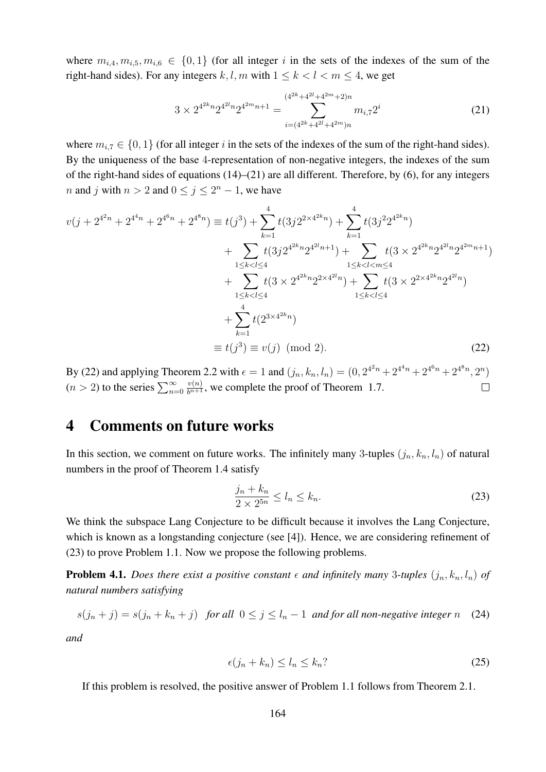where  $m_{i,4}, m_{i,5}, m_{i,6} \in \{0,1\}$  (for all integer i in the sets of the indexes of the sum of the right-hand sides). For any integers k, l, m with  $1 \leq k < l < m \leq 4$ , we get

$$
3 \times 2^{4^{2k}n} 2^{4^{2l}n} 2^{4^{2m}n+1} = \sum_{i=(4^{2k}+4^{2l}+4^{2m})n}^{(4^{2k}+4^{2l}+4^{2m}+2)n} m_{i,7} 2^{i}
$$
 (21)

where  $m_{i,7} \in \{0,1\}$  (for all integer i in the sets of the indexes of the sum of the right-hand sides). By the uniqueness of the base 4-representation of non-negative integers, the indexes of the sum of the right-hand sides of equations (14)–(21) are all different. Therefore, by (6), for any integers *n* and *j* with  $n > 2$  and  $0 \le j \le 2<sup>n</sup> - 1$ , we have

$$
v(j + 2^{4^{2n}} + 2^{4^{4n}} + 2^{4^{6n}} + 2^{4^{8n}}) \equiv t(j^{3}) + \sum_{k=1}^{4} t(3j2^{2 \times 4^{2k}n}) + \sum_{k=1}^{4} t(3j^{2}2^{4^{2k}n}) + \sum_{1 \le k < l \le 4} t(3j2^{4^{2k}n}2^{4^{2l}n+1}) + \sum_{1 \le k < l < m \le 4} t(3 \times 2^{4^{2k}n}2^{4^{2l}n}2^{4^{2m}n+1}) + \sum_{1 \le k < l \le 4} t(3 \times 2^{4^{2k}n}2^{2 \times 4^{2l}n}) + \sum_{1 \le k < l \le 4} t(3 \times 2^{2 \times 4^{2k}n}2^{4^{2l}n}) + \sum_{k=1}^{4} t(2^{3 \times 4^{2k}n}) + \sum_{k=1}^{4} t(2^{3 \times 4^{2k}n})
$$
\n
$$
\equiv t(j^{3}) \equiv v(j) \pmod{2}.
$$
\n(22)

By (22) and applying Theorem 2.2 with  $\epsilon = 1$  and  $(j_n, k_n, l_n) = (0, 2^{4^2n} + 2^{4^4n} + 2^{4^6n} + 2^{4^8n}, 2^n)$  $(n > 2)$  to the series  $\sum_{n=0}^{\infty}$  $\frac{v(n)}{b^{n+1}}$ , we complete the proof of Theorem 1.7.  $\Box$ 

# 4 Comments on future works

In this section, we comment on future works. The infinitely many 3-tuples  $(j_n, k_n, l_n)$  of natural numbers in the proof of Theorem 1.4 satisfy

$$
\frac{j_n + k_n}{2 \times 2^{5n}} \le l_n \le k_n. \tag{23}
$$

We think the subspace Lang Conjecture to be difficult because it involves the Lang Conjecture, which is known as a longstanding conjecture (see [4]). Hence, we are considering refinement of (23) to prove Problem 1.1. Now we propose the following problems.

**Problem 4.1.** *Does there exist a positive constant*  $\epsilon$  *and infinitely many* 3-tuples  $(j_n, k_n, l_n)$  *of natural numbers satisfying*

$$
s(j_n + j) = s(j_n + k_n + j) \text{ for all } 0 \le j \le l_n - 1 \text{ and for all non-negative integer } n \quad (24)
$$

*and*

$$
\epsilon(j_n + k_n) \le l_n \le k_n
$$
 (25)

If this problem is resolved, the positive answer of Problem 1.1 follows from Theorem 2.1.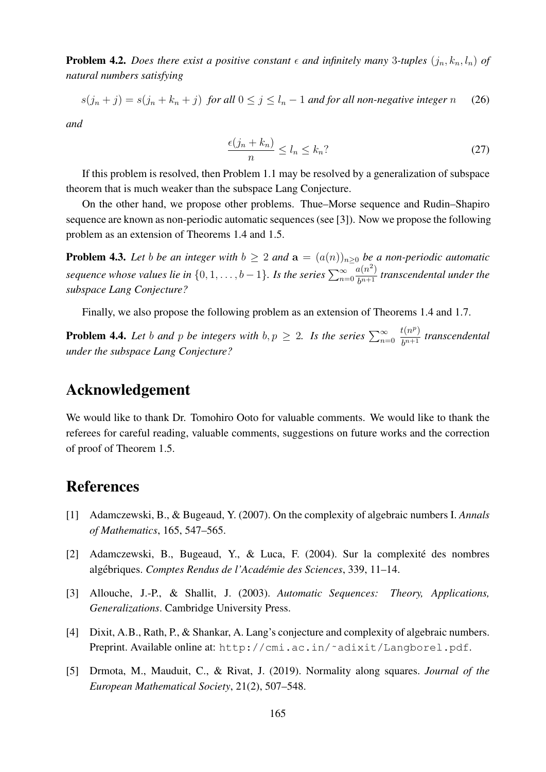**Problem 4.2.** *Does there exist a positive constant*  $\epsilon$  *and infinitely many* 3-tuples  $(j_n, k_n, l_n)$  *of natural numbers satisfying*

$$
s(j_n + j) = s(j_n + k_n + j) \text{ for all } 0 \le j \le l_n - 1 \text{ and for all non-negative integer } n \qquad (26)
$$

*and*

$$
\frac{\epsilon(j_n + k_n)}{n} \le l_n \le k_n
$$
 (27)

If this problem is resolved, then Problem 1.1 may be resolved by a generalization of subspace theorem that is much weaker than the subspace Lang Conjecture.

On the other hand, we propose other problems. Thue–Morse sequence and Rudin–Shapiro sequence are known as non-periodic automatic sequences (see [3]). Now we propose the following problem as an extension of Theorems 1.4 and 1.5.

**Problem 4.3.** Let b be an integer with  $b \ge 2$  and  $a = (a(n))_{n\ge 0}$  be a non-periodic automatic *sequence whose values lie in*  $\{0, 1, \ldots, b-1\}$ *. Is the series*  $\sum_{n=0}^{\infty}$  $a(n^2)$  $\frac{d(n-1)}{b^{n+1}}$  *transcendental under the subspace Lang Conjecture?*

Finally, we also propose the following problem as an extension of Theorems 1.4 and 1.7.

**Problem 4.4.** Let b and p be integers with  $b, p \ge 2$ . Is the series  $\sum_{n=0}^{\infty}$  $t(n^p)$  $\frac{b^{(h^*)}}{b^{n+1}}$  *transcendental under the subspace Lang Conjecture?*

## Acknowledgement

We would like to thank Dr. Tomohiro Ooto for valuable comments. We would like to thank the referees for careful reading, valuable comments, suggestions on future works and the correction of proof of Theorem 1.5.

## References

- [1] Adamczewski, B., & Bugeaud, Y. (2007). On the complexity of algebraic numbers I. *Annals of Mathematics*, 165, 547–565.
- [2] Adamczewski, B., Bugeaud, Y., & Luca, F. (2004). Sur la complexité des nombres algebriques. ´ *Comptes Rendus de l'Academie des Sciences ´* , 339, 11–14.
- [3] Allouche, J.-P., & Shallit, J. (2003). *Automatic Sequences: Theory, Applications, Generalizations*. Cambridge University Press.
- [4] Dixit, A.B., Rath, P., & Shankar, A. Lang's conjecture and complexity of algebraic numbers. Preprint. Available online at: http://cmi.ac.in/˜adixit/Langborel.pdf.
- [5] Drmota, M., Mauduit, C., & Rivat, J. (2019). Normality along squares. *Journal of the European Mathematical Society*, 21(2), 507–548.